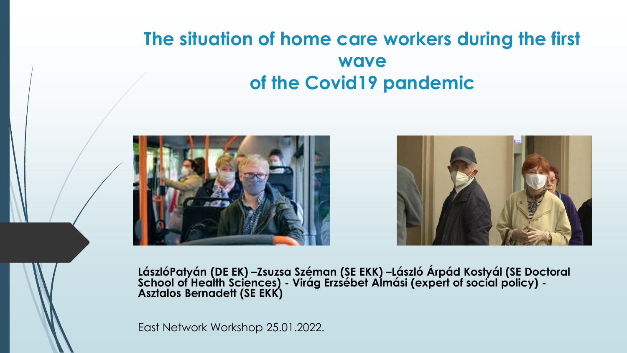#### **The situation of home care workers during the first wave of the Covid19 pandemic**





**LászlóPatyán (DE EK) –Zsuzsa Széman (SE EKK) –László Árpád Kostyál (SE Doctoral School of Health Sciences) - Virág Erzsébet Almási (expert of social policy) - Asztalos Bernadett (SE EKK)**

East Network Workshop 25.01.2022.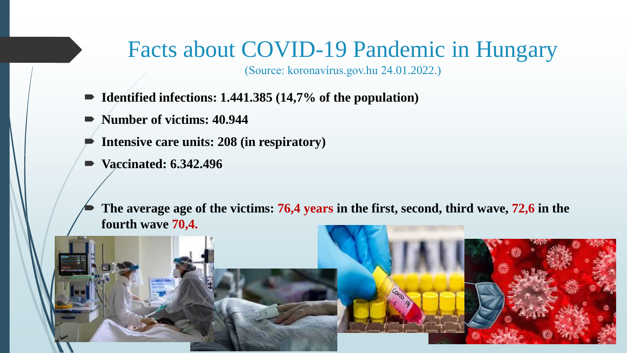### Facts about COVID-19 Pandemic in Hungary

(Source: koronavírus.gov.hu 24.01.2022.)

- **Identified infections: 1.441.385** (14,7% of the population)
- Number of victims: 40.944
- **Intensive care units: 208 (in respiratory)**
- **Vaccinated: 6.342.496**

 **The average age of the victims: 76,4 years in the first, second, third wave, 72,6 in the fourth wave 70,4.**

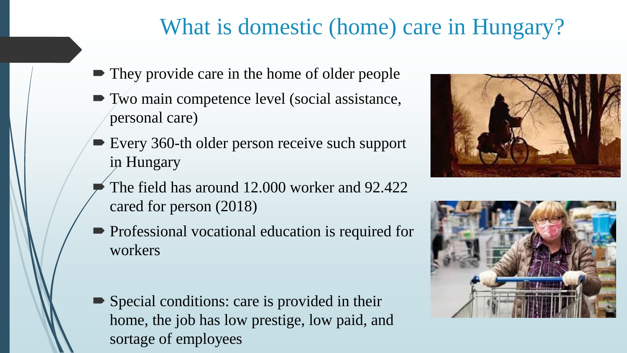# What is domestic (home) care in Hungary?

- They provide care in the home of older people
- Two main competence level (social assistance, personal care)
- Every 360-th older person receive such support in Hungary
- The field has around 12.000 worker and 92.422 cared for person (2018)
- **Professional vocational education is required for** workers
- Special conditions: care is provided in their home, the job has low prestige, low paid, and sortage of employees



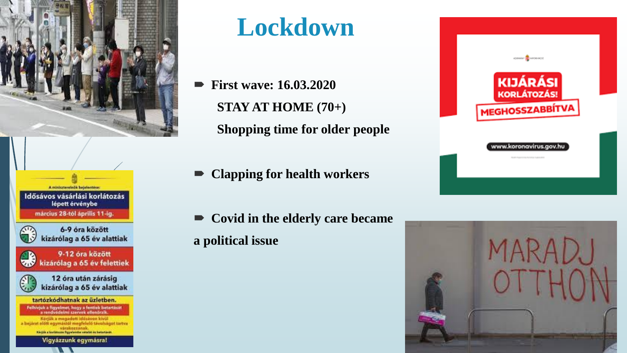







tartózkódhatnak az üzletben. Felhivjuk a figyelmet, hogy a fentiek betartását<br>a rendvédelmi szervek ellenőrzik. Kerjuk a megadott idősávon kívül

a bejárat előtt egymászól megfelelő távolságot tartva várakozzanak **Kingin a barlatozas figyelendie vételét és betertését** 

Vigyázzunk egymásra!

# **Lockdown**

- **First wave: 16.03.2020 STAY AT HOME (70+) Shopping time for older people**
- **Clapping for health workers**
- **Covid in the elderly care became a political issue**



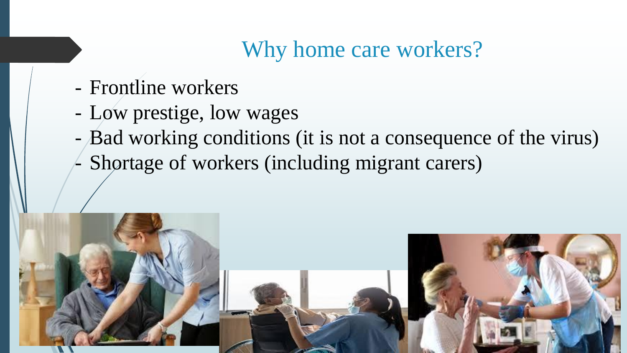# Why home care workers?

- Frontline workers
- Low prestige, low wages
- Bad working conditions (it is not a consequence of the virus)
- Shortage of workers (including migrant carers)

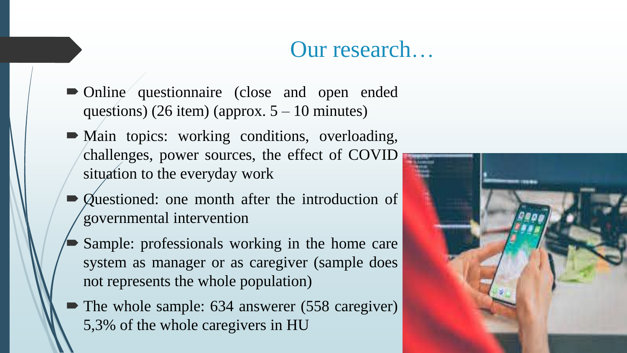### Our research…

- Online questionnaire (close and open ended questions) (26 item) (approx.  $5 - 10$  minutes)
- Main topics: working conditions, overloading, challenges, power sources, the effect of COVID situation to the everyday work
- Questioned: one month after the introduction of governmental intervention
- Sample: professionals working in the home care system as manager or as caregiver (sample does not represents the whole population)
- The whole sample: 634 answerer (558 caregiver) 5,3% of the whole caregivers in HU

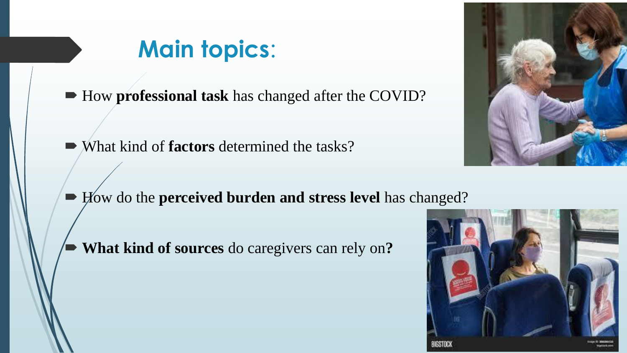# **Main topics**:

■ How **professional task** has changed after the COVID?

- What kind of **factors** determined the tasks?
- How do the **perceived burden and stress level** has changed?
	- **What kind of sources** do caregivers can rely on**?**



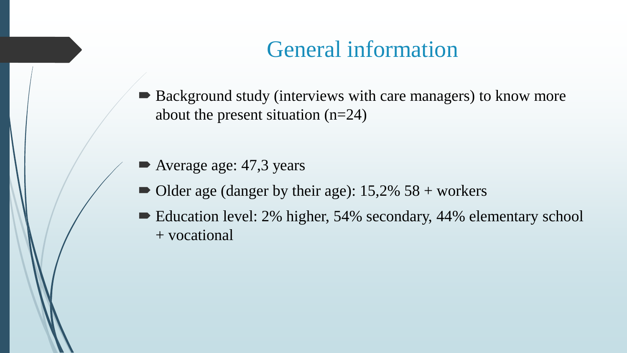### General information

- Background study (interviews with care managers) to know more about the present situation (n=24)
- Average age: 47,3 years
- $\blacksquare$  Older age (danger by their age): 15,2% 58 + workers
- Education level: 2% higher, 54% secondary, 44% elementary school + vocational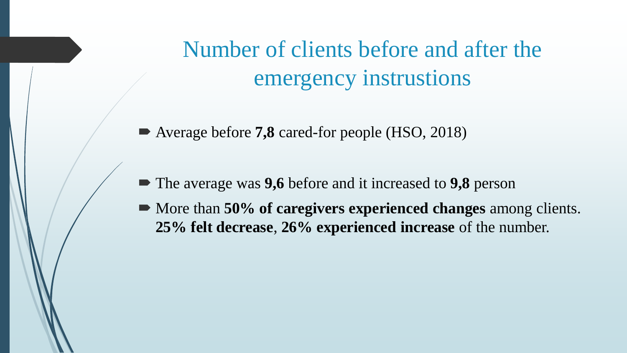Number of clients before and after the emergency instrustions

- Average before **7,8** cared-for people (HSO, 2018)
- The average was **9,6** before and it increased to **9,8** person
- More than **50% of caregivers experienced changes** among clients. **25% felt decrease**, **26% experienced increase** of the number.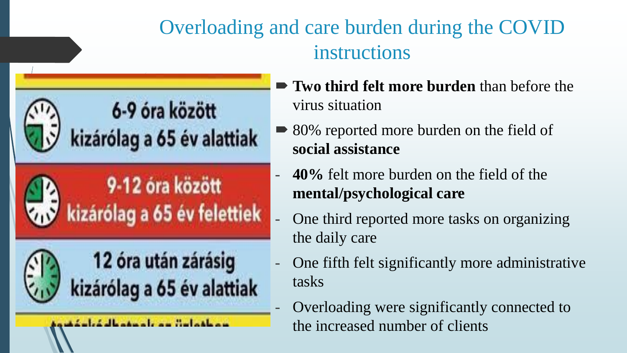### Overloading and care burden during the COVID instructions



- **Two third felt more burden** than before the virus situation
- 80% reported more burden on the field of **social assistance**
- **40%** felt more burden on the field of the **mental/psychological care**
- One third reported more tasks on organizing the daily care
- One fifth felt significantly more administrative tasks
- Overloading were significantly connected to the increased number of clients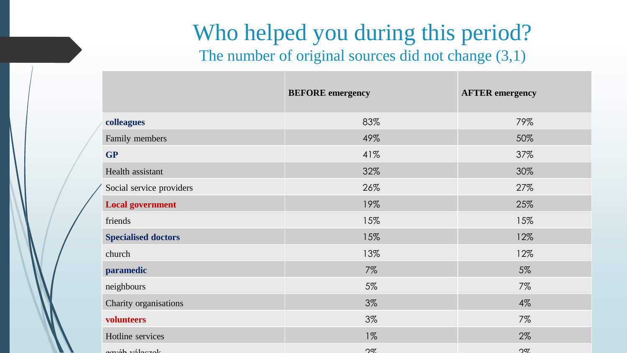# Who helped you during this period?

The number of original sources did not change  $(3,1)$ 

|                            | <b>BEFORE</b> emergency | <b>AFTER</b> emergency |
|----------------------------|-------------------------|------------------------|
| colleagues                 | 83%                     | 79%                    |
| Family members             | 49%                     | 50%                    |
| <b>GP</b>                  | 41%                     | 37%                    |
| Health assistant           | 32%                     | 30%                    |
| Social service providers   | 26%                     | 27%                    |
| <b>Local government</b>    | 19%                     | 25%                    |
| friends                    | 15%                     | 15%                    |
| <b>Specialised doctors</b> | 15%                     | 12%                    |
| church                     | 13%                     | 12%                    |
| paramedic                  | 7%                      | 5%                     |
| neighbours                 | 5%                      | $7\%$                  |
| Charity organisations      | 3%                      | $4\%$                  |
| volunteers                 | 3%                      | 7%                     |
| Hotline services           | $1\%$                   | 2%                     |
| aguat véloczak             | $\Omega$                | $\Omega$               |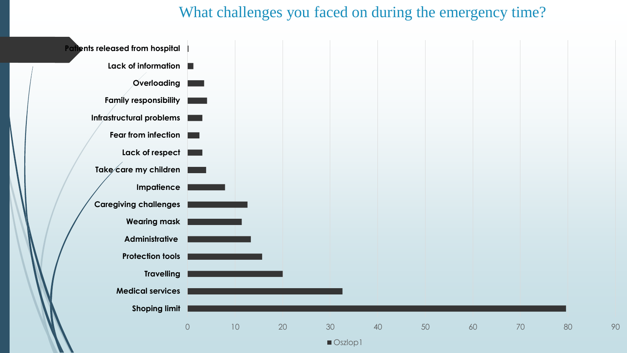#### What challenges you faced on during the emergency time?

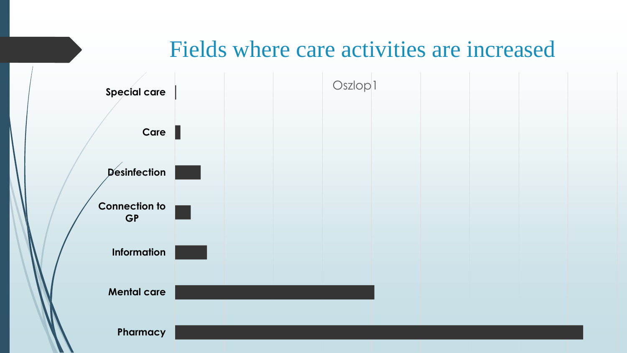#### Fields where care activities are increased

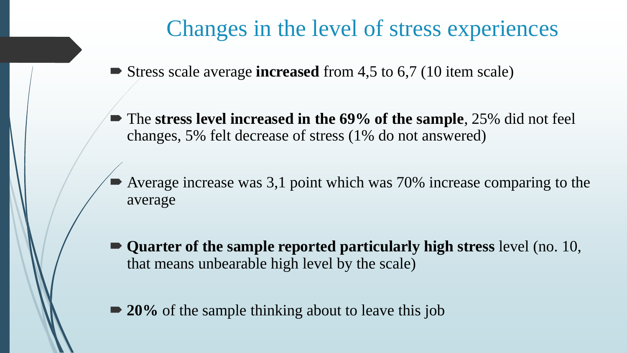#### Changes in the level of stress experiences

- Stress scale average **increased** from 4,5 to 6,7 (10 item scale)
- The **stress level increased in the 69% of the sample**, 25% did not feel changes, 5% felt decrease of stress (1% do not answered)
- Average increase was 3,1 point which was 70% increase comparing to the average
- **Quarter of the sample reported particularly high stress** level (no. 10, that means unbearable high level by the scale)
- **20%** of the sample thinking about to leave this job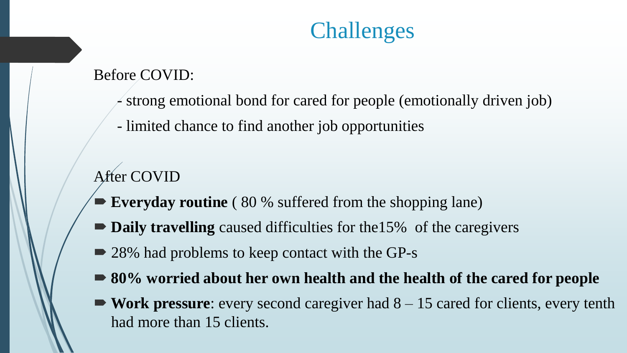# Challenges

Before COVID:

- strong emotional bond for cared for people (emotionally driven job)
- limited chance to find another job opportunities

#### After COVID

- **Everyday routine** (80 % suffered from the shopping lane)
- **Daily travelling** caused difficulties for the15% of the caregivers
- 28% had problems to keep contact with the GP-s
- **80% worried about her own health and the health of the cared for people**
- **Work pressure**: every second caregiver had 8 15 cared for clients, every tenth had more than 15 clients.